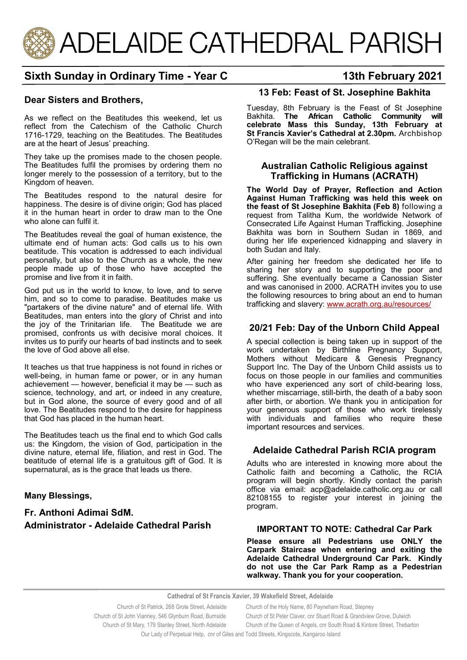

# **Sixth Sunday in Ordinary Time - Year C 13th February 2021**

#### **Dear Sisters and Brothers,**

As we reflect on the Beatitudes this weekend, let us reflect from the Catechism of the Catholic Church 1716-1729, teaching on the Beatitudes. The Beatitudes are at the heart of Jesus' preaching.

They take up the promises made to the chosen people. The Beatitudes fulfil the promises by ordering them no longer merely to the possession of a territory, but to the Kingdom of heaven.

The Beatitudes respond to the natural desire for happiness. The desire is of divine origin; God has placed it in the human heart in order to draw man to the One who alone can fulfil it.

The Beatitudes reveal the goal of human existence, the ultimate end of human acts: God calls us to his own beatitude. This vocation is addressed to each individual personally, but also to the Church as a whole, the new people made up of those who have accepted the promise and live from it in faith.

God put us in the world to know, to love, and to serve him, and so to come to paradise. Beatitudes make us "partakers of the divine nature" and of eternal life. With Beatitudes, man enters into the glory of Christ and into the joy of the Trinitarian life. The Beatitude we are promised, confronts us with decisive moral choices. It invites us to purify our hearts of bad instincts and to seek the love of God above all else.

It teaches us that true happiness is not found in riches or well-being, in human fame or power, or in any human achievement — however, beneficial it may be — such as science, technology, and art, or indeed in any creature, but in God alone, the source of every good and of all love. The Beatitudes respond to the desire for happiness that God has placed in the human heart.

The Beatitudes teach us the final end to which God calls us: the Kingdom, the vision of God, participation in the divine nature, eternal life, filiation, and rest in God. The beatitude of eternal life is a gratuitous gift of God. It is supernatural, as is the grace that leads us there.

#### **Many Blessings,**

# **Fr. Anthoni Adimai SdM. Administrator - Adelaide Cathedral Parish**

# **13 Feb: Feast of St. Josephine Bakhita**

Tuesday, 8th February is the Feast of St Josephine Bakhita. **The African Catholic Community will celebrate Mass this Sunday, 13th February at St Francis Xavier's Cathedral at 2.30pm.** Archbishop O'Regan will be the main celebrant.

#### **Australian Catholic Religious against Trafficking in Humans (ACRATH)**

**The World Day of Prayer, Reflection and Action Against Human Trafficking was held this week on the feast of St Josephine Bakhita (Feb 8)** following a request from Talitha Kum, the worldwide Network of Consecrated Life Against Human Trafficking. Josephine Bakhita was born in Southern Sudan in 1869, and during her life experienced kidnapping and slavery in both Sudan and Italy.

After gaining her freedom she dedicated her life to sharing her story and to supporting the poor and suffering. She eventually became a Canossian Sister and was canonised in 2000. ACRATH invites you to use the following resources to bring about an end to human trafficking and slavery: [www.acrath.org.au/resources/](http://www.acrath.org.au/resources/)

# **20/21 Feb: Day of the Unborn Child Appeal**

A special collection is being taken up in support of the work undertaken by Birthline Pregnancy Support, Mothers without Medicare & Genesis Pregnancy Support Inc. The Day of the Unborn Child assists us to focus on those people in our families and communities who have experienced any sort of child-bearing loss. whether miscarriage, still-birth, the death of a baby soon after birth, or abortion. We thank you in anticipation for your generous support of those who work tirelessly with individuals and families who require these important resources and services.

## **Adelaide Cathedral Parish RCIA program**

Adults who are interested in knowing more about the Catholic faith and becoming a Catholic, the RCIA program will begin shortly. Kindly contact the parish office via email: acp@adelaide.catholic.org.au or call 82108155 to register your interest in joining the program.

#### **IMPORTANT TO NOTE: Cathedral Car Park**

**Please ensure all Pedestrians use ONLY the Carpark Staircase when entering and exiting the Adelaide Cathedral Underground Car Park. Kindly do not use the Car Park Ramp as a Pedestrian walkway. Thank you for your cooperation.** 

**Cathedral of St Francis Xavier, 39 Wakefield Street, Adelaide**

| Church of St Patrick, 268 Grote Street, Adelaide                                      | Church of the Holy Name, 80 Payneham Road, Stepney                        |
|---------------------------------------------------------------------------------------|---------------------------------------------------------------------------|
| Church of St John Vianney, 546 Glynburn Road, Burnside                                | Church of St Peter Claver, cnr Stuart Road & Grandview Grove, Dulwich     |
| Church of St Mary, 179 Stanley Street, North Adelaide                                 | Church of the Queen of Angels, cnr South Road & Kintore Street, Thebarton |
| Our Lady of Pernetual Help corr of Giles and Todd Streets, Kingscote, Kangaroo Island |                                                                           |

Lady of Perpetual Help, cnr of Giles and Todd Streets, Kingscote, K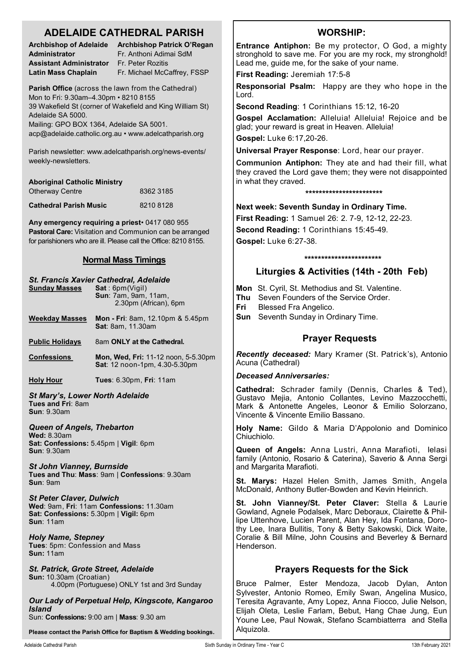# **ADELAIDE CATHEDRAL PARISH**

| <b>Archbishop of Adelaide</b> |  |  |
|-------------------------------|--|--|
| Administrator                 |  |  |
| Assistant Administrator       |  |  |
| Latin Mass Chaplain           |  |  |

**Archbishop Patrick O'Regan Administrator** Fr. Anthoni Adimai SdM **Assistant Administrator** Fr. Peter Rozitis **Latin Mass Chaplain** Fr. Michael McCaffrey, FSSP

**Parish Office** (across the lawn from the Cathedral) Mon to Fri: 9.30am–4.30pm • 8210 8155 39 Wakefield St (corner of Wakefield and King William St) Adelaide SA 5000. Mailing: GPO BOX 1364, Adelaide SA 5001.

acp@adelaide.catholic.org.au • www.adelcathparish.org

Parish newsletter: www.adelcathparish.org/news-events/ weekly-newsletters.

| <b>Aboriginal Catholic Ministry</b> |           |
|-------------------------------------|-----------|
| <b>Otherway Centre</b>              | 8362 3185 |
| <b>Cathedral Parish Music</b>       | 82108128  |

**Any emergency requiring a priest**• 0417 080 955 **Pastoral Care:** Visitation and Communion can be arranged for parishioners who are ill. Please call the Office: 8210 8155.

# **Normal Mass Timings**

# *St. Francis Xavier Cathedral, Adelaide* **Sunday Masses Sun**: 7am, 9am, 11am, 2.30pm (African), 6pm **Weekday Masses Mon - Fri**: 8am, 12.10pm & 5.45pm **Sat**: 8am, 11.30am **Public Holidays** 8am ONLY at the Cathedral. **Confessions Mon, Wed, Fri:** 11-12 noon, 5-5.30pm **Sat**: 12 noon-1pm, 4.30-5.30pm **Holy Hour Tues**: 6.30pm, **Fri**: 11am *St Mary's, Lower North Adelaide* **Tues and Fri**: 8am **Sun**: 9.30am *Queen of Angels, Thebarton* **Wed:** 8.30am **Sat: Confessions:** 5.45pm | **Vigil**: 6pm **Sun**: 9.30am *St John Vianney, Burnside* **Tues and Thu**: **Mass**: 9am | **Confessions**: 9.30am **Sun**: 9am *St Peter Claver, Dulwich* **Wed**: 9am, **Fri**: 11am **Confessions:** 11.30am **Sat: Confessions:** 5.30pm | **Vigil:** 6pm **Sun**: 11am *Holy Name, Stepney* **Tues**: 5pm: Confession and Mass **Sun:** 11am *St. Patrick, Grote Street, Adelaide*

**Sun:** 10.30am (Croatian) 4.00pm (Portuguese) ONLY 1st and 3rd Sunday

*Our Lady of Perpetual Help, Kingscote, Kangaroo Island* Sun: **Confessions:** 9:00 am | **Mass**: 9.30 am

**Please contact the Parish Office for Baptism & Wedding bookings.**

# **WORSHIP:**

**Entrance Antiphon:** Be my protector, O God, a mighty stronghold to save me. For you are my rock, my stronghold! Lead me, guide me, for the sake of your name.

**First Reading:** Jeremiah 17:5-8

**Responsorial Psalm:** Happy are they who hope in the Lord.

**Second Reading**: 1 Corinthians 15:12, 16-20

**Gospel Acclamation:** Alleluia! Alleluia! Rejoice and be glad; your reward is great in Heaven. Alleluia!

**Gospel:** Luke 6:17,20-26.

**Universal Prayer Response**: Lord, hear our prayer.

**Communion Antiphon:** They ate and had their fill, what they craved the Lord gave them; they were not disappointed in what they craved.

**\*\*\*\*\*\*\*\*\*\*\*\*\*\*\*\*\*\*\*\*\*\*\***

**Next week: Seventh Sunday in Ordinary Time.** 

**First Reading:** 1 Samuel 26: 2. 7-9, 12-12, 22-23.

**Second Reading:** 1 Corinthians 15:45-49. **Gospel:** Luke 6:27-38.

#### **\*\*\*\*\*\*\*\*\*\*\*\*\*\*\*\*\*\*\*\*\*\*\***

# **Liturgies & Activities (14th - 20th Feb)**

- **Mon** St. Cyril, St. Methodius and St. Valentine.
- **Thu** Seven Founders of the Service Order.
- **Fri** Blessed Fra Angelico.
- **Sun** Seventh Sunday in Ordinary Time.

# **Prayer Requests**

*Recently deceased:* Mary Kramer (St. Patrick's), Antonio Acuna (Cathedral)

#### *Deceased Anniversaries:*

**Cathedral:** Schrader family (Dennis, Charles & Ted), Gustavo Mejia, Antonio Collantes, Levino Mazzocchetti, Mark & Antonette Angeles, Leonor & Emilio Solorzano, Vincente & Vincente Emilio Bassano.

**Holy Name:** Gildo & Maria D'Appolonio and Dominico Chiuchiolo.

**Queen of Angels:** Anna Lustri, Anna Marafioti, Ielasi family (Antonio, Rosario & Caterina), Saverio & Anna Sergi and Margarita Marafioti.

**St. Marys:** Hazel Helen Smith, James Smith, Angela McDonald, Anthony Butler-Bowden and Kevin Heinrich.

**St. John Vianney/St. Peter Claver:** Stella & Laurie Gowland, Agnele Podalsek, Marc Deboraux, Clairette & Phillipe Uttenhove, Lucien Parent, Alan Hey, Ida Fontana, Dorothy Lee, Inara Bullitis, Tony & Betty Sakowski, Dick Waite, Coralie & Bill Milne, John Cousins and Beverley & Bernard Henderson.

# **Prayers Requests for the Sick**

Bruce Palmer, Ester Mendoza, Jacob Dylan, Anton Sylvester, Antonio Romeo, Emily Swan, Angelina Musico, Teresita Agravante, Amy Lopez, Anna Fiocco, Julie Nelson, Elijah Oleta, Leslie Farlam, Bebut, Hang Chae Jung, Eun Youne Lee, Paul Nowak, Stefano Scambiatterra and Stella Alquizola.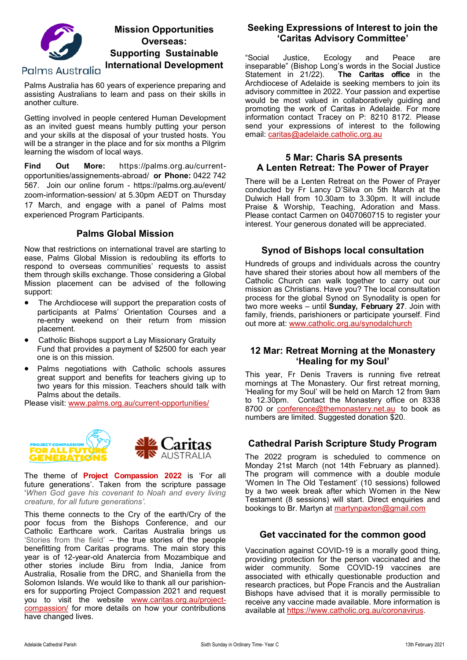

Palms Australia has 60 years of experience preparing and assisting Australians to learn and pass on their skills in another culture.

Getting involved in people centered Human Development as an invited guest means humbly putting your person and your skills at the disposal of your trusted hosts. You will be a stranger in the place and for six months a Pilgrim learning the wisdom of local ways.

**Find Out More:** https://palms.org.au/currentopportunities/assignements-abroad/ **or Phone:** 0422 742 567. Join our online forum - https://palms.org.au/event/ zoom-information-session/ at 5.30pm AEDT on Thursday 17 March, and engage with a panel of Palms most experienced Program Participants.

## **Palms Global Mission**

Now that restrictions on international travel are starting to ease, Palms Global Mission is redoubling its efforts to respond to overseas communities' requests to assist them through skills exchange. Those considering a Global Mission placement can be advised of the following support:

- The Archdiocese will support the preparation costs of participants at Palms' Orientation Courses and a re-entry weekend on their return from mission placement.
- Catholic Bishops support a Lay Missionary Gratuity Fund that provides a payment of \$2500 for each year one is on this mission.
- Palms negotiations with Catholic schools assures great support and benefits for teachers giving up to two years for this mission. Teachers should talk with Palms about the details.

Please visit: [www.palms.org.au/current](https://aus01.safelinks.protection.outlook.com/?url=http%3A%2F%2Fwww.palms.org.au%2Fcurrent-opportunities%2F&data=04%7C01%7CMBennier%40adelaide.catholic.org.au%7Cf7245266b9eb4e44bec308d9ea9e0198%7Cfe51d108d61d407cbcaaaab5af82a7ac%7C1%7C0%7C637798786612003053%)-opportunities/



The theme of **Project Compassion 2022** is 'For all future generations'. Taken from the scripture passage '*When God gave his covenant to Noah and every living creature, for all future generations'.*

This theme connects to the Cry of the earth/Cry of the poor focus from the Bishops Conference, and our Catholic Earthcare work. Caritas Australia brings us 'Stories from the field' – the true stories of the people benefitting from Caritas programs. The main story this year is of 12-year-old Anatercia from Mozambique and other stories include Biru from India, Janice from Australia, Rosalie from the DRC, and Shaniella from the Solomon Islands. We would like to thank all our parishioners for supporting Project Compassion 2021 and request you to visit the website [www.caritas.org.au/project](http://www.caritas.org.au/project-compassion/)[compassion/](http://www.caritas.org.au/project-compassion/) for more details on how your contributions have changed lives.

#### **Seeking Expressions of Interest to join the 'Caritas Advisory Committee'**

"Social Justice, Ecology and Peace are inseparable" (Bishop Long's words in the Social Justice Statement in 21/22). **The Caritas office** in the Archdiocese of Adelaide is seeking members to join its advisory committee in 2022. Your passion and expertise would be most valued in collaboratively guiding and promoting the work of Caritas in Adelaide. For more information contact Tracey on P: 8210 8172. Please send your expressions of interest to the following email: [caritas@adelaide.catholic.org.au](mailto:caritas@adelaide.catholic.org.au)

## **5 Mar: Charis SA presents A Lenten Retreat: The Power of Prayer**

There will be a Lenten Retreat on the Power of Prayer conducted by Fr Lancy D'Silva on 5th March at the Dulwich Hall from 10.30am to 3.30pm. It will include Praise & Worship, Teaching, Adoration and Mass. Please contact Carmen on 0407060715 to register your interest. Your generous donated will be appreciated.

## **Synod of Bishops local consultation**

Hundreds of groups and individuals across the country have shared their stories about how all members of the Catholic Church can walk together to carry out our mission as Christians. Have you? The local consultation process for the global Synod on Synodality is open for two more weeks – until **Sunday, February 27**. Join with family, friends, parishioners or participate yourself. Find out more at: [www.catholic.org.au/synodalchurch](http://www.catholic.org.au/synodalchurch)

#### **12 Mar: Retreat Morning at the Monastery 'Healing for my Soul'**

This year, Fr Denis Travers is running five retreat mornings at The Monastery. Our first retreat morning, 'Healing for my Soul' will be held on March 12 from 9am to 12.30pm. Contact the Monastery office on 8338 8700 or [conference@themonastery.net.au](mailto:conference@themonastery.net.au) to book as numbers are limited. Suggested donation \$20.

# **Cathedral Parish Scripture Study Program**

The 2022 program is scheduled to commence on Monday 21st March (not 14th February as planned). The program will commence with a double module 'Women In The Old Testament' (10 sessions) followed by a two week break after which Women in the New Testament (8 sessions) will start. Direct enquiries and bookings to Br. Martyn at [martynpaxton@gmail.com](mailto:martynpaxton@gmail.com)

## **Get vaccinated for the common good**

Vaccination against COVID-19 is a morally good thing, providing protection for the person vaccinated and the wider community. Some COVID-19 vaccines are associated with ethically questionable production and research practices, but Pope Francis and the Australian Bishops have advised that it is morally permissible to receive any vaccine made available. More information is available at [https://www.catholic.org.au/coronavirus.](https://www.catholic.org.au/coronavirus)